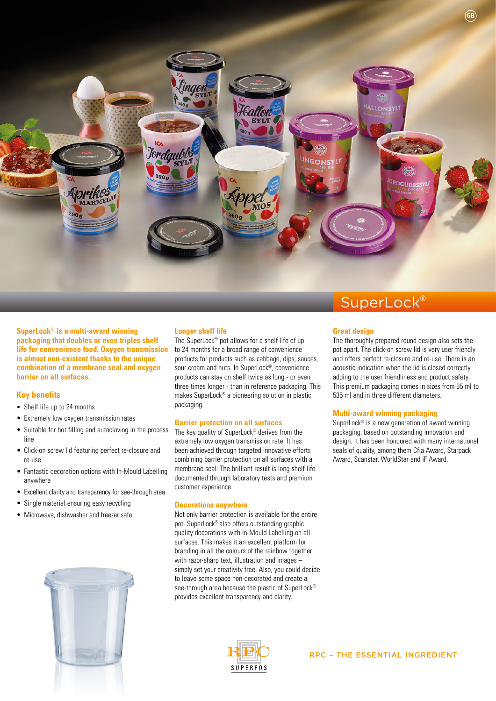

**SuperLock® is a multi-award winning packaging that doubles or even triples shelf life for convenience food. Oxygen transmission is almost non-existent thanks to the unique combination of a membrane seal and oxygen barrier on all surfaces.**

### **Key benefits**

- Shelf life up to 24 months
- Extremely low oxygen transmission rates
- Suitable for hot filling and autoclaving in the process line
- Click-on screw lid featuring perfect re-closure and re-use
- Fantastic decoration options with In-Mould Labelling anywhere
- Excellent clarity and transparency for see-through area
- Single material ensuring easy recycling
- Microwave, dishwasher and freezer safe



### **Longer shelf life**

The SuperLock® pot allows for a shelf life of up to 24 months for a broad range of convenience products for products such as cabbage, dips, sauces, sour cream and nuts. In SuperLock®, convenience products can stay on shelf twice as long - or even three times longer - than in reference packaging. This makes SuperLock® a pioneering solution in plastic packaging.

### **Barrier protection on all surfaces**

The key quality of SuperLock® derives from the extremely low oxygen transmission rate. It has been achieved through targeted innovative efforts combining barrier protection on all surfaces with a membrane seal. The brilliant result is long shelf life documented through laboratory tests and premium customer experience.

### **Decorations anywhere**

Not only barrier protection is available for the entire pot. SuperLock® also offers outstanding graphic quality decorations with In-Mould Labelling on all surfaces. This makes it an excellent platform for branding in all the colours of the rainbow together with razor-sharp text, illustration and images – simply set your creativity free. Also, you could decide to leave some space non-decorated and create a see-through area because the plastic of SuperLock® provides excellent transparency and clarity.



### SuperLock<sup>®</sup>

### **Great design**

The thoroughly prepared round design also sets the pot apart. The click-on screw lid is very user friendly and offers perfect re-closure and re-use. There is an acoustic indication when the lid is closed correctly adding to the user friendliness and product safety. This premium packaging comes in sizes from 65 ml to 535 ml and in three different diameters.

### **Multi-award winning packaging**

SuperLock® is a new generation of award winning packaging, based on outstanding innovation and design. It has been honoured with many international seals of quality, among them Cfia Award, Starpack Award, Scanstar, WorldStar and iF Award.